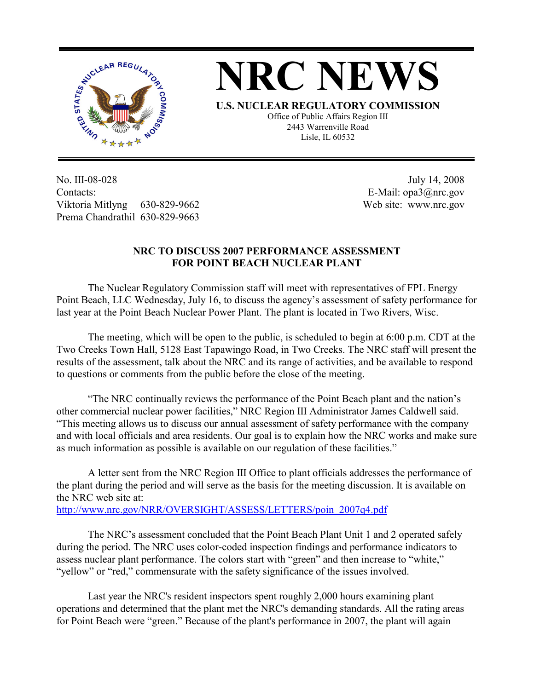

**NRC NEWS**

**U.S. NUCLEAR REGULATORY COMMISSION** Office of Public Affairs Region III 2443 Warrenville Road Lisle, IL 60532

No. III-08-028 Contacts: Viktoria Mitlyng 630-829-9662 Prema Chandrathil 630-829-9663

 July 14, 2008 E-Mail: opa3@nrc.gov Web site: www.nrc.gov

## **NRC TO DISCUSS 2007 PERFORMANCE ASSESSMENT FOR POINT BEACH NUCLEAR PLANT**

 The Nuclear Regulatory Commission staff will meet with representatives of FPL Energy Point Beach, LLC Wednesday, July 16, to discuss the agency's assessment of safety performance for last year at the Point Beach Nuclear Power Plant. The plant is located in Two Rivers, Wisc.

 The meeting, which will be open to the public, is scheduled to begin at 6:00 p.m. CDT at the Two Creeks Town Hall, 5128 East Tapawingo Road, in Two Creeks. The NRC staff will present the results of the assessment, talk about the NRC and its range of activities, and be available to respond to questions or comments from the public before the close of the meeting.

 "The NRC continually reviews the performance of the Point Beach plant and the nation's other commercial nuclear power facilities," NRC Region III Administrator James Caldwell said. "This meeting allows us to discuss our annual assessment of safety performance with the company and with local officials and area residents. Our goal is to explain how the NRC works and make sure as much information as possible is available on our regulation of these facilities."

 A letter sent from the NRC Region III Office to plant officials addresses the performance of the plant during the period and will serve as the basis for the meeting discussion. It is available on the NRC web site at:

http://www.nrc.gov/NRR/OVERSIGHT/ASSESS/LETTERS/poin\_2007q4.pdf

 The NRC's assessment concluded that the Point Beach Plant Unit 1 and 2 operated safely during the period. The NRC uses color-coded inspection findings and performance indicators to assess nuclear plant performance. The colors start with "green" and then increase to "white," "yellow" or "red," commensurate with the safety significance of the issues involved.

Last year the NRC's resident inspectors spent roughly 2,000 hours examining plant operations and determined that the plant met the NRC's demanding standards. All the rating areas for Point Beach were "green." Because of the plant's performance in 2007, the plant will again